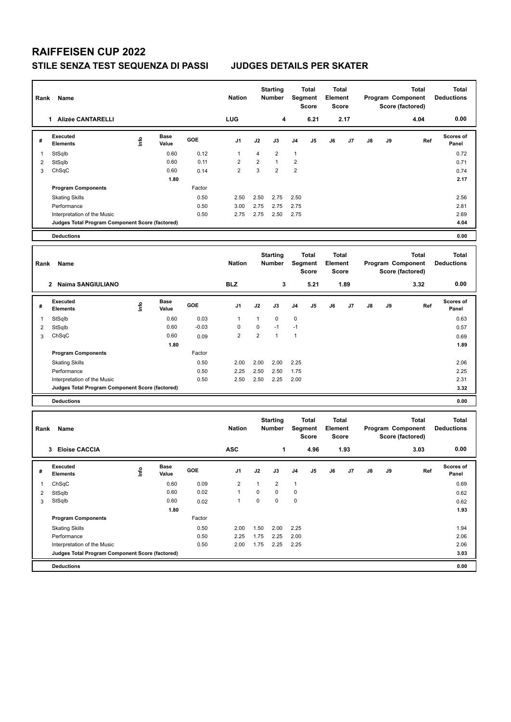## **RAIFFEISEN CUP 2022 STILE SENZA TEST SEQUENZA DI PASSI JUDGES DETAILS PER SKATER**

| Rank           | Name                                                                           |      |                      |              | <b>Nation</b>           |                | <b>Starting</b><br>Number        |                | Total<br>Segment<br><b>Score</b>        | <b>Total</b><br>Element<br><b>Score</b> |      |    |    | <b>Total</b><br>Program Component<br>Score (factored) | <b>Total</b><br><b>Deductions</b> |
|----------------|--------------------------------------------------------------------------------|------|----------------------|--------------|-------------------------|----------------|----------------------------------|----------------|-----------------------------------------|-----------------------------------------|------|----|----|-------------------------------------------------------|-----------------------------------|
|                | 1 Alizée CANTARELLI                                                            |      |                      |              | LUG                     |                | 4                                |                | 6.21                                    |                                         | 2.17 |    |    | 4.04                                                  | 0.00                              |
| #              | Executed<br><b>Elements</b>                                                    | lnfo | <b>Base</b><br>Value | GOE          | J1                      | J2             | J3                               | J4             | J5                                      | J6                                      | J7   | J8 | J9 | Ref                                                   | <b>Scores of</b><br>Panel         |
| 1              | StSqlb                                                                         |      | 0.60                 | 0.12         | $\mathbf{1}$            | 4              | $\overline{\mathbf{c}}$          | $\mathbf{1}$   |                                         |                                         |      |    |    |                                                       | 0.72                              |
| $\overline{c}$ | StSqlb                                                                         |      | 0.60                 | 0.11         | $\overline{2}$          | $\overline{2}$ | $\mathbf{1}$                     | $\overline{2}$ |                                         |                                         |      |    |    |                                                       | 0.71                              |
| 3              | ChSqC                                                                          |      | 0.60                 | 0.14         | $\overline{2}$          | 3              | $\overline{2}$                   | $\overline{2}$ |                                         |                                         |      |    |    |                                                       | 0.74                              |
|                |                                                                                |      | 1.80                 |              |                         |                |                                  |                |                                         |                                         |      |    |    |                                                       | 2.17                              |
|                | <b>Program Components</b>                                                      |      |                      | Factor       |                         |                |                                  |                |                                         |                                         |      |    |    |                                                       |                                   |
|                | <b>Skating Skills</b>                                                          |      |                      | 0.50         | 2.50                    | 2.50           | 2.75                             | 2.50           |                                         |                                         |      |    |    |                                                       | 2.56                              |
|                | Performance                                                                    |      |                      | 0.50         | 3.00                    | 2.75           | 2.75                             | 2.75           |                                         |                                         |      |    |    |                                                       | 2.81                              |
|                | Interpretation of the Music<br>Judges Total Program Component Score (factored) |      |                      | 0.50         | 2.75                    | 2.75           | 2.50                             | 2.75           |                                         |                                         |      |    |    |                                                       | 2.69<br>4.04                      |
|                | <b>Deductions</b>                                                              |      |                      |              |                         |                |                                  |                |                                         |                                         |      |    |    |                                                       | 0.00                              |
|                |                                                                                |      |                      |              |                         |                |                                  |                |                                         |                                         |      |    |    |                                                       |                                   |
| Rank           | Name                                                                           |      |                      |              | <b>Nation</b>           |                | <b>Starting</b><br><b>Number</b> |                | <b>Total</b><br>Segment<br><b>Score</b> | <b>Total</b><br>Element<br><b>Score</b> |      |    |    | <b>Total</b><br>Program Component<br>Score (factored) | <b>Total</b><br><b>Deductions</b> |
|                | 2 Naima SANGIULIANO                                                            |      |                      |              | <b>BLZ</b>              |                | 3                                |                | 5.21                                    |                                         | 1.89 |    |    | 3.32                                                  | 0.00                              |
| #              | Executed<br><b>Elements</b>                                                    | lnfo | <b>Base</b><br>Value | GOE          | J1                      | J2             | J3                               | J4             | J5                                      | J6                                      | J7   | J8 | J9 | Ref                                                   | Scores of<br>Panel                |
| 1              | StSqlb                                                                         |      | 0.60                 | 0.03         | 1                       | $\mathbf{1}$   | 0                                | $\pmb{0}$      |                                         |                                         |      |    |    |                                                       | 0.63                              |
| $\overline{c}$ | StSqlb                                                                         |      | 0.60                 | $-0.03$      | $\mathbf 0$             | $\mathbf 0$    | $-1$                             | $-1$           |                                         |                                         |      |    |    |                                                       | 0.57                              |
| 3              | ChSqC                                                                          |      | 0.60                 | 0.09         | $\overline{2}$          | $\overline{2}$ | $\mathbf{1}$                     | $\mathbf{1}$   |                                         |                                         |      |    |    |                                                       | 0.69                              |
|                |                                                                                |      | 1.80                 |              |                         |                |                                  |                |                                         |                                         |      |    |    |                                                       | 1.89                              |
|                | <b>Program Components</b>                                                      |      |                      | Factor       |                         |                |                                  |                |                                         |                                         |      |    |    |                                                       |                                   |
|                | <b>Skating Skills</b>                                                          |      |                      | 0.50         | 2.00                    | 2.00           | 2.00                             | 2.25           |                                         |                                         |      |    |    |                                                       | 2.06                              |
|                | Performance                                                                    |      |                      | 0.50<br>0.50 | 2.25<br>2.50            | 2.50<br>2.50   | 2.50<br>2.25                     | 1.75<br>2.00   |                                         |                                         |      |    |    |                                                       | 2.25<br>2.31                      |
|                | Interpretation of the Music<br>Judges Total Program Component Score (factored) |      |                      |              |                         |                |                                  |                |                                         |                                         |      |    |    |                                                       | 3.32                              |
|                | <b>Deductions</b>                                                              |      |                      |              |                         |                |                                  |                |                                         |                                         |      |    |    |                                                       | 0.00                              |
|                |                                                                                |      |                      |              |                         |                |                                  |                |                                         |                                         |      |    |    |                                                       |                                   |
| Rank           | Name                                                                           |      |                      |              | <b>Nation</b>           |                | <b>Starting</b><br><b>Number</b> |                | Total<br>Segment<br><b>Score</b>        | <b>Total</b><br>Element<br><b>Score</b> |      |    |    | <b>Total</b><br>Program Component<br>Score (factored) | <b>Total</b><br><b>Deductions</b> |
|                | 3 Eloise CACCIA                                                                |      |                      |              | <b>ASC</b>              |                | 1                                |                | 4.96                                    |                                         | 1.93 |    |    | 3.03                                                  | 0.00                              |
| #              | Executed<br><b>Elements</b>                                                    | ١nf٥ | Base<br>Value        | GOE          | J1                      | J2             | J3                               | J4             | J5                                      | J6                                      | J7   | J8 | J9 | Ref                                                   | <b>Scores of</b><br>Panel         |
| -1             | ChSqC                                                                          |      | 0.60                 | 0.09         | $\overline{\mathbf{c}}$ | $\mathbf{1}$   | 2                                | $\mathbf{1}$   |                                         |                                         |      |    |    |                                                       | 0.69                              |
| $\overline{2}$ | StSqlb                                                                         |      | 0.60                 | 0.02         | $\mathbf{1}$            | $\mathbf 0$    | 0                                | 0              |                                         |                                         |      |    |    |                                                       | 0.62                              |
| 3              | StSqlb                                                                         |      | 0.60                 | 0.02         | $\mathbf{1}$            | $\pmb{0}$      | $\mathbf 0$                      | $\pmb{0}$      |                                         |                                         |      |    |    |                                                       | 0.62                              |
|                |                                                                                |      | 1.80                 |              |                         |                |                                  |                |                                         |                                         |      |    |    |                                                       | 1.93                              |
|                | <b>Program Components</b>                                                      |      |                      | Factor       |                         |                |                                  |                |                                         |                                         |      |    |    |                                                       |                                   |
|                | <b>Skating Skills</b>                                                          |      |                      | 0.50         | 2.00                    | 1.50           | 2.00                             | 2.25           |                                         |                                         |      |    |    |                                                       | 1.94                              |
|                | Performance<br>Interpretation of the Music                                     |      |                      | 0.50         | 2.25                    | 1.75           | 2.25<br>2.25                     | 2.00           |                                         |                                         |      |    |    |                                                       | 2.06                              |
|                | Judges Total Program Component Score (factored)                                |      |                      | 0.50         | 2.00                    | 1.75           |                                  | 2.25           |                                         |                                         |      |    |    |                                                       | 2.06<br>3.03                      |
|                | <b>Deductions</b>                                                              |      |                      |              |                         |                |                                  |                |                                         |                                         |      |    |    |                                                       | 0.00                              |
|                |                                                                                |      |                      |              |                         |                |                                  |                |                                         |                                         |      |    |    |                                                       |                                   |